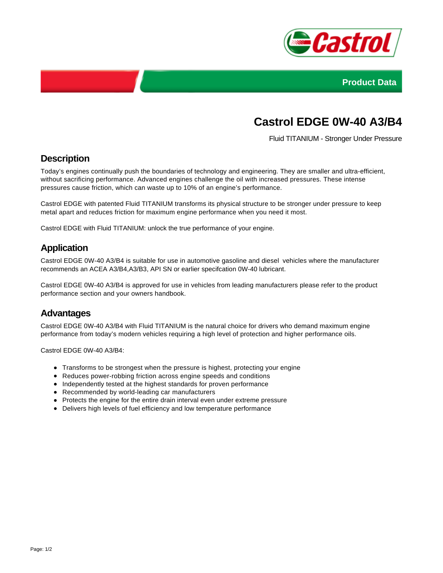



# **Castrol EDGE 0W-40 A3/B4**

Fluid TITANIUM - Stronger Under Pressure

#### **Description**

Today's engines continually push the boundaries of technology and engineering. They are smaller and ultra-efficient, without sacrificing performance. Advanced engines challenge the oil with increased pressures. These intense pressures cause friction, which can waste up to 10% of an engine's performance.

Castrol EDGE with patented Fluid TITANIUM transforms its physical structure to be stronger under pressure to keep metal apart and reduces friction for maximum engine performance when you need it most.

Castrol EDGE with Fluid TITANIUM: unlock the true performance of your engine.

#### **Application**

Castrol EDGE 0W-40 A3/B4 is suitable for use in automotive gasoline and diesel vehicles where the manufacturer recommends an ACEA A3/B4,A3/B3, API SN or earlier specifcation 0W-40 lubricant.

Castrol EDGE 0W-40 A3/B4 is approved for use in vehicles from leading manufacturers please refer to the product performance section and your owners handbook.

#### **Advantages**

Castrol EDGE 0W-40 A3/B4 with Fluid TITANIUM is the natural choice for drivers who demand maximum engine performance from today's modern vehicles requiring a high level of protection and higher performance oils.

Castrol EDGE 0W-40 A3/B4:

- Transforms to be strongest when the pressure is highest, protecting your engine
- Reduces power-robbing friction across engine speeds and conditions
- Independently tested at the highest standards for proven performance
- Recommended by world-leading car manufacturers
- Protects the engine for the entire drain interval even under extreme pressure
- Delivers high levels of fuel efficiency and low temperature performance